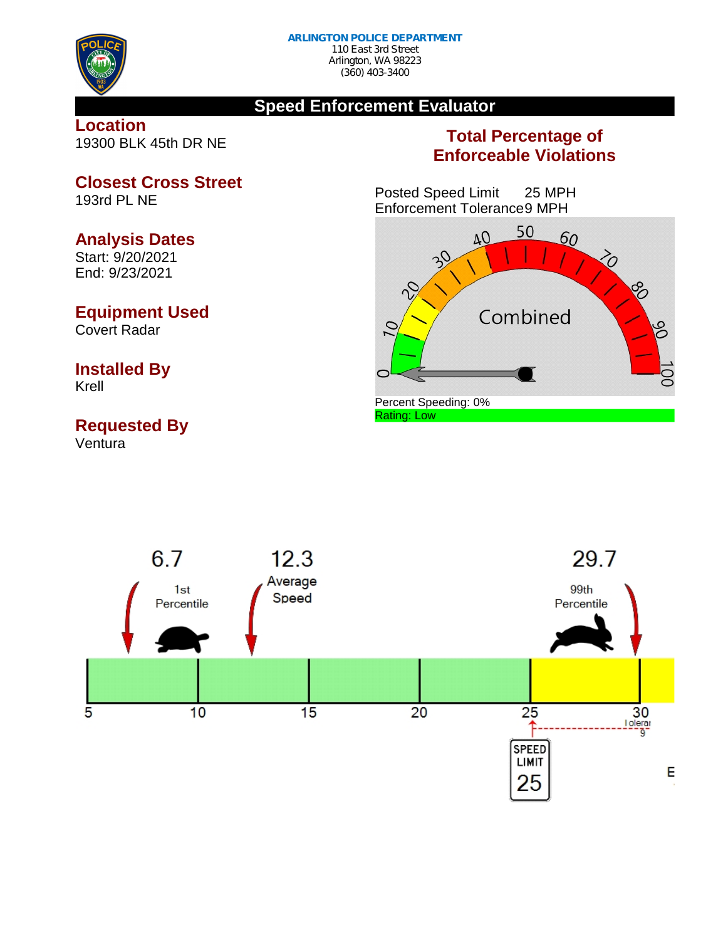

## **Speed Enforcement Evaluator**

### **Location** 19300 BLK 45th DR NE

## **Total Percentage of Enforceable Violations**

Posted Speed Limit 25 MPH Enforcement Tolerance9 MPH





**Closest Cross Street**

**Analysis Dates** Start: 9/20/2021

End: 9/23/2021

## **Equipment Used**

Covert Radar

## **Installed By**

Krell

# **Requested By**

Ventura